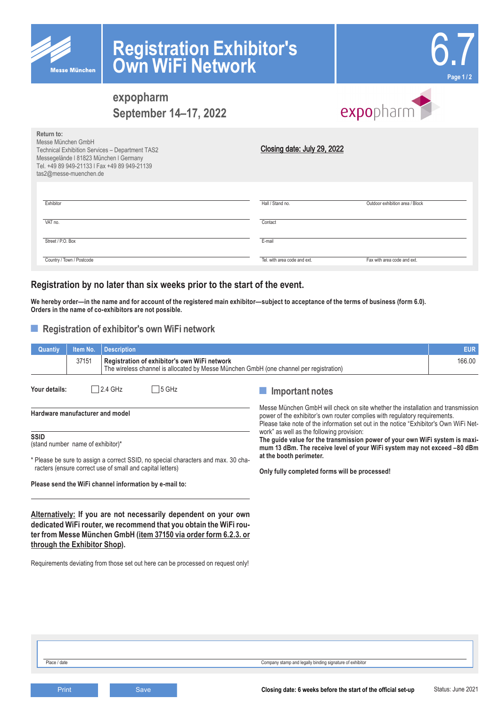

# **Registration Exhibitor's Own WiFi Network**



# **expopharm September 14–17, 2022**

# expopharm

| Return to:<br>Messe München GmbH<br>Technical Exhibition Services - Department TAS2<br>Messegelände I 81823 München I Germany<br>Tel. +49 89 949-21133   Fax +49 89 949-21139<br>tas2@messe-muenchen.de | Closing date: July 29, 2022  |                                 |
|---------------------------------------------------------------------------------------------------------------------------------------------------------------------------------------------------------|------------------------------|---------------------------------|
| Exhibitor                                                                                                                                                                                               | Hall / Stand no.             | Outdoor exhibition area / Block |
| VAT no.                                                                                                                                                                                                 | Contact                      |                                 |
| Street / P.O. Box                                                                                                                                                                                       | E-mail                       |                                 |
| Country / Town / Postcode                                                                                                                                                                               | Tel. with area code and ext. | Fax with area code and ext.     |

# **Registration by no later than six weeks prior to the start of the event.**

**We hereby order—in the name and for account of the registered main exhibitor—subject to acceptance of the terms of business (form 6.0). Orders in the name of co-exhibitors are not possible.**

## ■ **Registration of exhibitor's own WiFi network**

| Quantiy                                                                                                                                                                                                                                                                                                                      | Item No. | <b>Description</b>                                                                                                                     |                                                                                                                                                                                                                                                                                                                                                                                                                                                                                                                                           | <b>EUR</b> |
|------------------------------------------------------------------------------------------------------------------------------------------------------------------------------------------------------------------------------------------------------------------------------------------------------------------------------|----------|----------------------------------------------------------------------------------------------------------------------------------------|-------------------------------------------------------------------------------------------------------------------------------------------------------------------------------------------------------------------------------------------------------------------------------------------------------------------------------------------------------------------------------------------------------------------------------------------------------------------------------------------------------------------------------------------|------------|
|                                                                                                                                                                                                                                                                                                                              | 37151    | Registration of exhibitor's own WiFi network<br>The wireless channel is allocated by Messe München GmbH (one channel per registration) |                                                                                                                                                                                                                                                                                                                                                                                                                                                                                                                                           | 166.00     |
| Your details:                                                                                                                                                                                                                                                                                                                |          | 5 GHz<br>2.4 GHz                                                                                                                       | Important notes                                                                                                                                                                                                                                                                                                                                                                                                                                                                                                                           |            |
| Hardware manufacturer and model                                                                                                                                                                                                                                                                                              |          |                                                                                                                                        | Messe München GmbH will check on site whether the installation and transmission<br>power of the exhibitor's own router complies with regulatory requirements.<br>Please take note of the information set out in the notice "Exhibitor's Own WiFi Net-<br>work" as well as the following provision:<br>The guide value for the transmission power of your own WiFi system is maxi-<br>mum 13 dBm. The receive level of your WiFi system may not exceed -80 dBm<br>at the booth perimeter.<br>Only fully completed forms will be processed! |            |
| <b>SSID</b><br>(stand number name of exhibitor)*                                                                                                                                                                                                                                                                             |          |                                                                                                                                        |                                                                                                                                                                                                                                                                                                                                                                                                                                                                                                                                           |            |
| * Please be sure to assign a correct SSID, no special characters and max. 30 cha-<br>racters (ensure correct use of small and capital letters)                                                                                                                                                                               |          |                                                                                                                                        |                                                                                                                                                                                                                                                                                                                                                                                                                                                                                                                                           |            |
|                                                                                                                                                                                                                                                                                                                              |          | Please send the WiFi channel information by e-mail to:                                                                                 |                                                                                                                                                                                                                                                                                                                                                                                                                                                                                                                                           |            |
| Alternatively: If you are not necessarily dependent on your own<br>dedicated WiFi router, we recommend that you obtain the WiFi rou-<br>ter from Messe München GmbH (item 37150 via order form 6.2.3. or<br>through the Exhibitor Shop).<br>Requirements deviating from those set out here can be processed on request only! |          |                                                                                                                                        |                                                                                                                                                                                                                                                                                                                                                                                                                                                                                                                                           |            |

**Print Closing date: 6 weeks before the start of the official set-up**